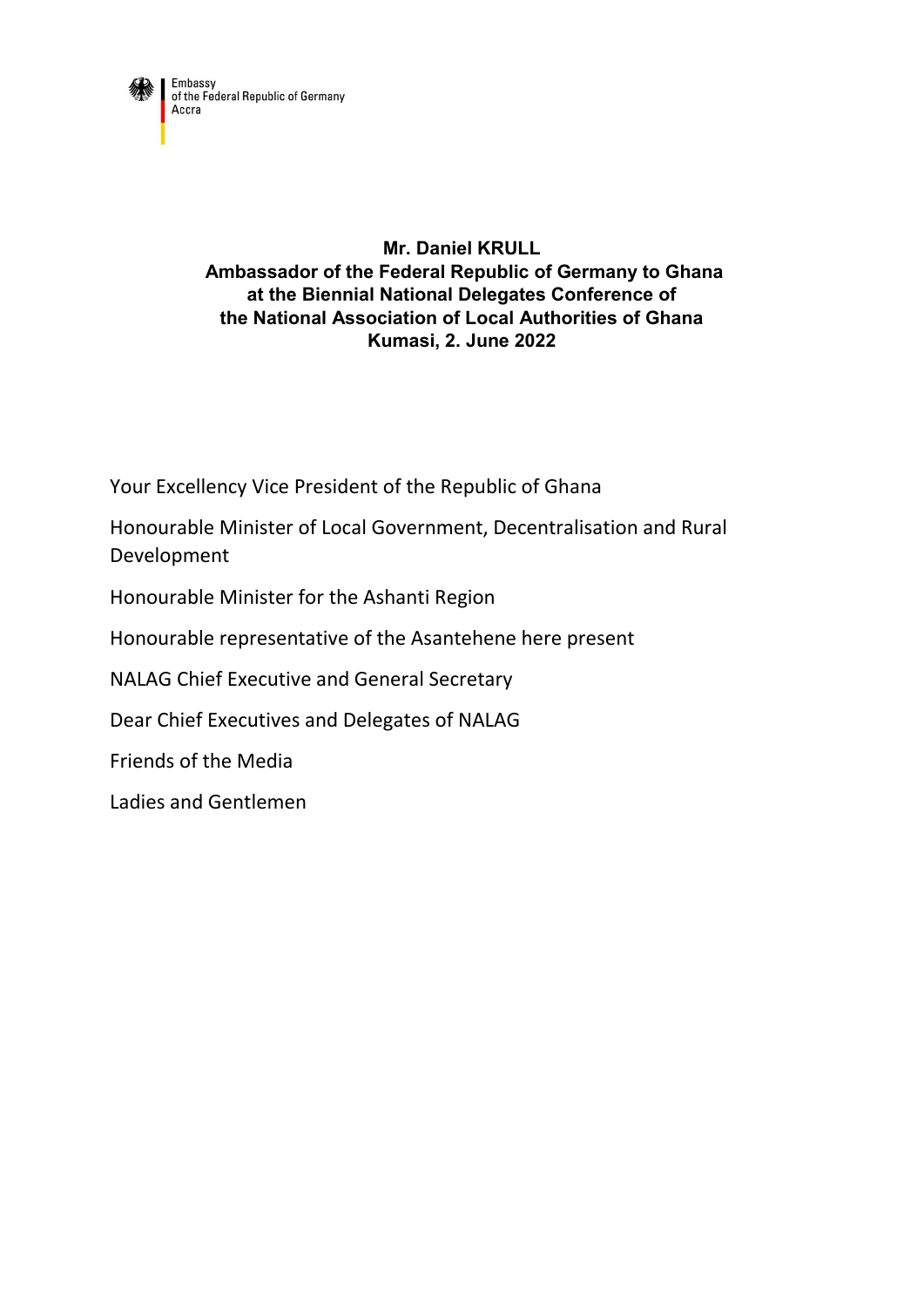

## **Mr. Daniel KRULL Ambassador of the Federal Republic of Germany to Ghana at the Biennial National Delegates Conference of the National Association of Local Authorities of Ghana Kumasi, 2. June 2022**

Your Excellency Vice President of the Republic of Ghana

Honourable Minister of Local Government, Decentralisation and Rural Development

Honourable Minister for the Ashanti Region

Honourable representative of the Asantehene here present

NALAG Chief Executive and General Secretary

Dear Chief Executives and Delegates of NALAG

Friends of the Media

Ladies and Gentlemen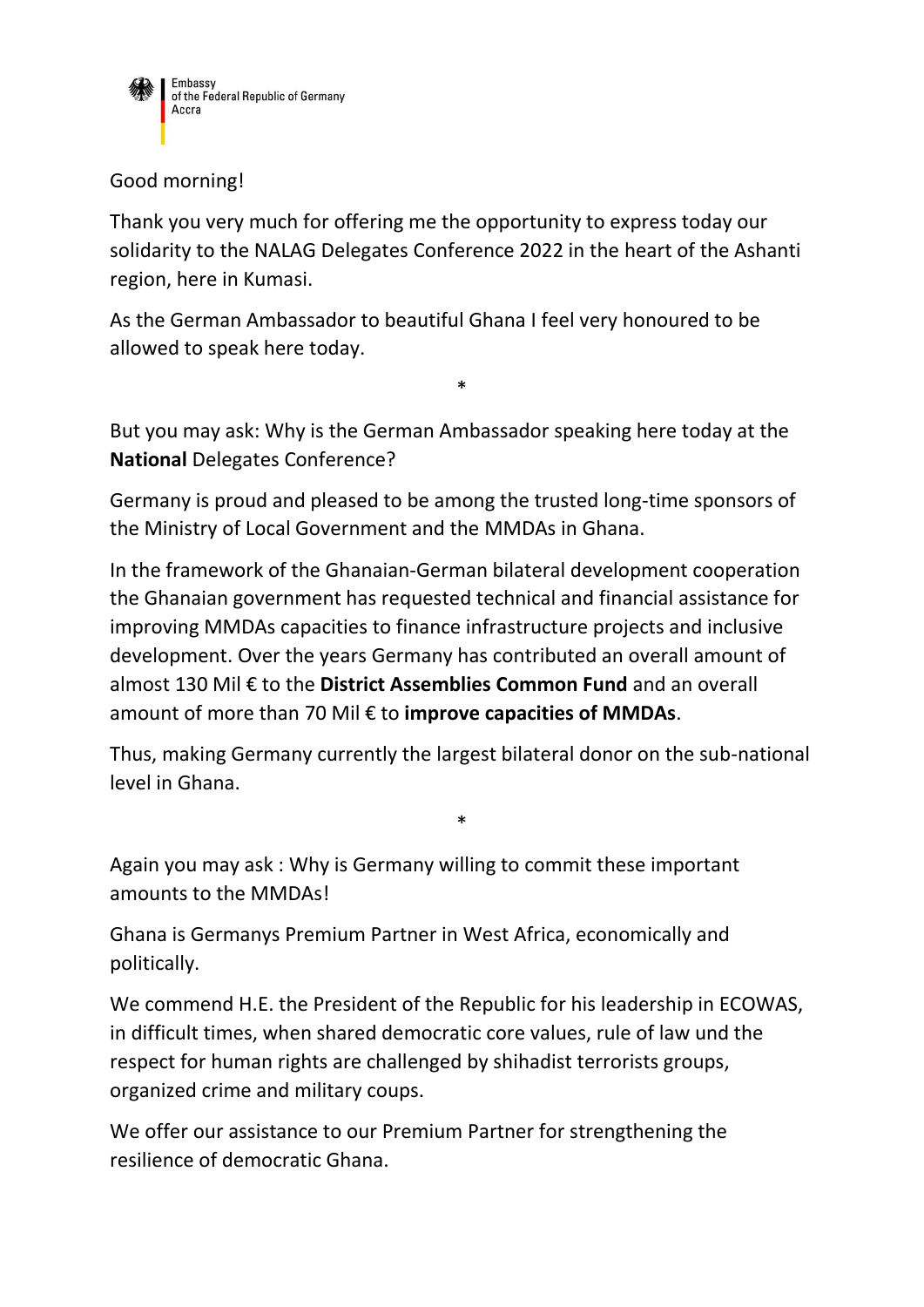

## Good morning!

Thank you very much for offering me the opportunity to express today our solidarity to the NALAG Delegates Conference 2022 in the heart of the Ashanti region, here in Kumasi.

As the German Ambassador to beautiful Ghana I feel very honoured to be allowed to speak here today.

But you may ask: Why is the German Ambassador speaking here today at the **National** Delegates Conference?

\*

Germany is proud and pleased to be among the trusted long-time sponsors of the Ministry of Local Government and the MMDAs in Ghana.

In the framework of the Ghanaian-German bilateral development cooperation the Ghanaian government has requested technical and financial assistance for improving MMDAs capacities to finance infrastructure projects and inclusive development. Over the years Germany has contributed an overall amount of almost 130 Mil € to the **District Assemblies Common Fund** and an overall amount of more than 70 Mil € to **improve capacities of MMDAs**.

Thus, making Germany currently the largest bilateral donor on the sub-national level in Ghana.

\*

Again you may ask : Why is Germany willing to commit these important amounts to the MMDAs!

Ghana is Germanys Premium Partner in West Africa, economically and politically.

We commend H.E. the President of the Republic for his leadership in ECOWAS, in difficult times, when shared democratic core values, rule of law und the respect for human rights are challenged by shihadist terrorists groups, organized crime and military coups.

We offer our assistance to our Premium Partner for strengthening the resilience of democratic Ghana.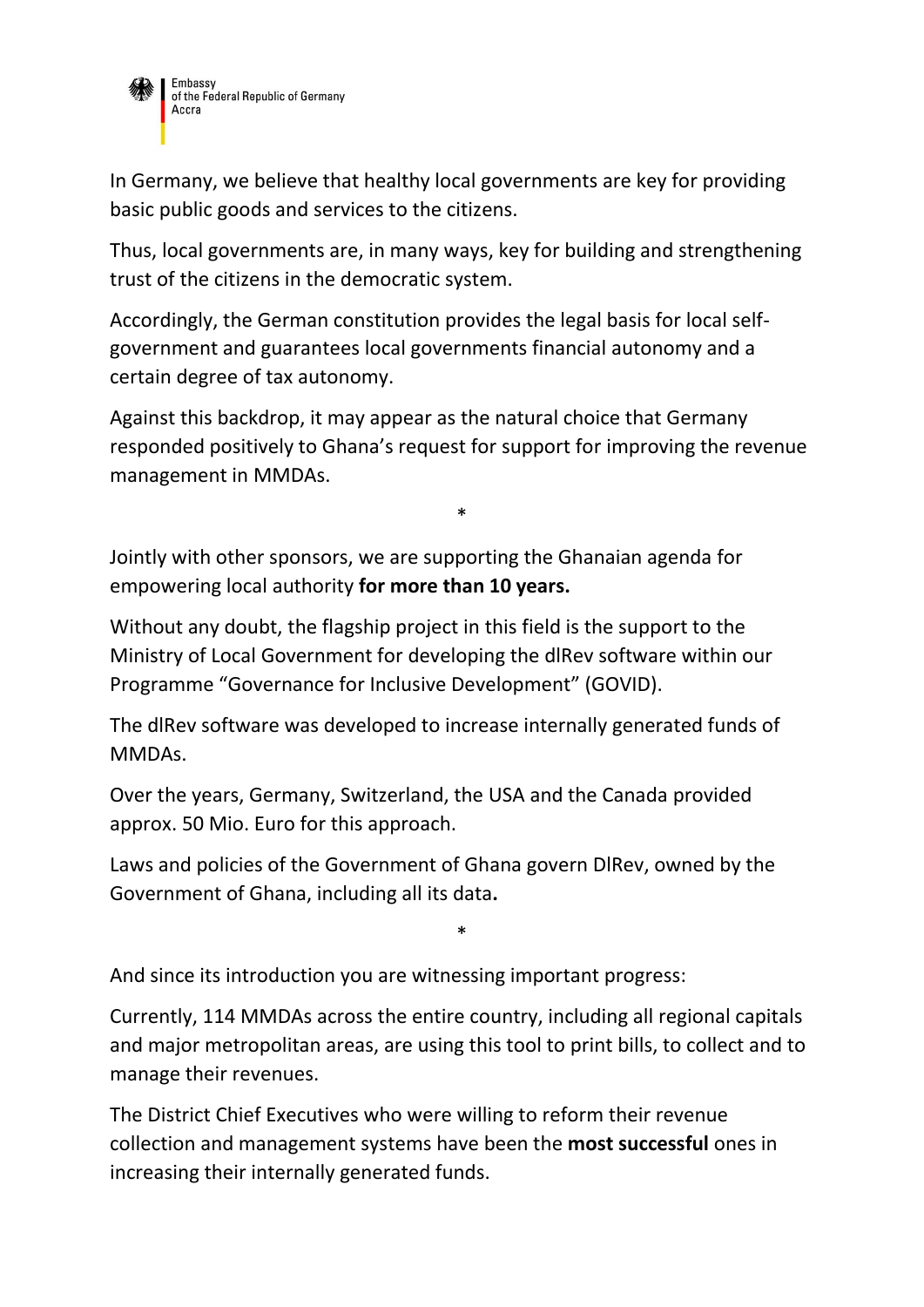

In Germany, we believe that healthy local governments are key for providing basic public goods and services to the citizens.

Thus, local governments are, in many ways, key for building and strengthening trust of the citizens in the democratic system.

Accordingly, the German constitution provides the legal basis for local selfgovernment and guarantees local governments financial autonomy and a certain degree of tax autonomy.

Against this backdrop, it may appear as the natural choice that Germany responded positively to Ghana's request for support for improving the revenue management in MMDAs.

\*

Jointly with other sponsors, we are supporting the Ghanaian agenda for empowering local authority **for more than 10 years.**

Without any doubt, the flagship project in this field is the support to the Ministry of Local Government for developing the dlRev software within our Programme "Governance for Inclusive Development" (GOVID).

The dlRev software was developed to increase internally generated funds of MMDAs.

Over the years, Germany, Switzerland, the USA and the Canada provided approx. 50 Mio. Euro for this approach.

Laws and policies of the Government of Ghana govern DlRev, owned by the Government of Ghana, including all its data**.**

And since its introduction you are witnessing important progress:

Currently, 114 MMDAs across the entire country, including all regional capitals and major metropolitan areas, are using this tool to print bills, to collect and to manage their revenues.

\*

The District Chief Executives who were willing to reform their revenue collection and management systems have been the **most successful** ones in increasing their internally generated funds.